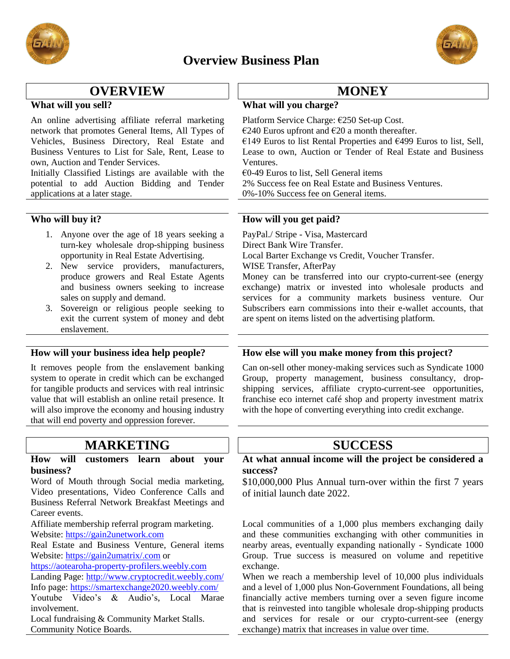





# **OVERVIEW 11 MONEY**

An online advertising affiliate referral marketing network that promotes General Items, All Types of Vehicles, Business Directory, Real Estate and Business Ventures to List for Sale, Rent, Lease to own, Auction and Tender Services.

Initially Classified Listings are available with the potential to add Auction Bidding and Tender applications at a later stage.

- 1. Anyone over the age of 18 years seeking a turn-key wholesale drop-shipping business opportunity in Real Estate Advertising.
- 2. New service providers, manufacturers, produce growers and Real Estate Agents and business owners seeking to increase sales on supply and demand.
- 3. Sovereign or religious people seeking to exit the current system of money and debt enslavement.

It removes people from the enslavement banking system to operate in credit which can be exchanged for tangible products and services with real intrinsic value that will establish an online retail presence. It will also improve the economy and housing industry that will end poverty and oppression forever.

# **MARKETING SUCCESS**

### **How will customers learn about your business?**

Word of Mouth through Social media marketing, Video presentations, Video Conference Calls and Business Referral Network Breakfast Meetings and Career events.

Affiliate membership referral program marketing. Website: [https://gain2unetwork.com](https://gain2unetwork.com/)

Real Estate and Business Venture, General items Website: <https://gain2umatrix/.com> or

[https://aotearoha-property-profilers.weebly.com](https://aotearoha-property-profilers.weebly.com/)

Landing Page:<http://www.cryptocredit.weebly.com/> Info page:<https://smartexchange2020.weebly.com/> Youtube Video's & Audio's, Local Marae involvement.

Local fundraising & Community Market Stalls. Community Notice Boards.

### **What will you sell? What will you charge?**

Platform Service Charge: €250 Set-up Cost.

€240 Euros upfront and €20 a month thereafter.

€149 Euros to list Rental Properties and €499 Euros to list, Sell, Lease to own, Auction or Tender of Real Estate and Business Ventures.

 $€0-49$  Euros to list, Sell General items

2% Success fee on Real Estate and Business Ventures.

0%-10% Success fee on General items.

### **Who will buy it? How will you get paid?**

PayPal./ Stripe - Visa, Mastercard Direct Bank Wire Transfer. Local Barter Exchange vs Credit, Voucher Transfer. WISE Transfer, AfterPay

Money can be transferred into our crypto-current-see (energy exchange) matrix or invested into wholesale products and services for a community markets business venture. Our Subscribers earn commissions into their e-wallet accounts, that are spent on items listed on the advertising platform.

### **How will your business idea help people? How else will you make money from this project?**

Can on-sell other money-making services such as Syndicate 1000 Group, property management, business consultancy, dropshipping services, affiliate crypto-current-see opportunities, franchise eco internet café shop and property investment matrix with the hope of converting everything into credit exchange.

## **At what annual income will the project be considered a success?**

\$10,000,000 Plus Annual turn-over within the first 7 years of initial launch date 2022.

Local communities of a 1,000 plus members exchanging daily and these communities exchanging with other communities in nearby areas, eventually expanding nationally - Syndicate 1000 Group. True success is measured on volume and repetitive exchange.

When we reach a membership level of 10,000 plus individuals and a level of 1,000 plus Non-Government Foundations, all being financially active members turning over a seven figure income that is reinvested into tangible wholesale drop-shipping products and services for resale or our crypto-current-see (energy exchange) matrix that increases in value over time.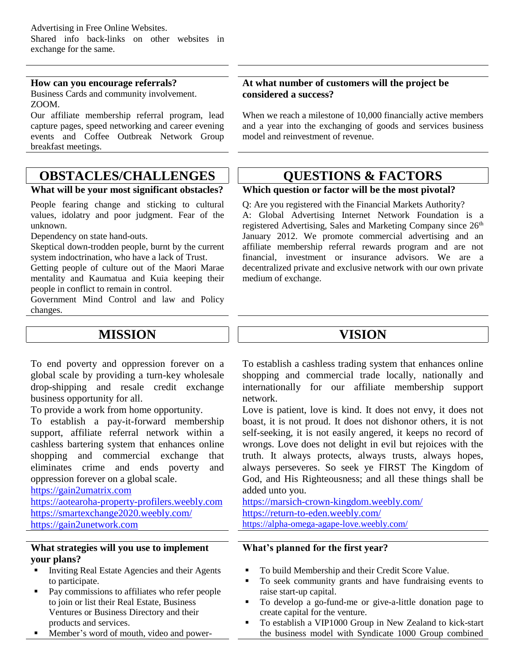### **How can you encourage referrals?**

Business Cards and community involvement. ZOOM.

Our affiliate membership referral program, lead capture pages, speed networking and career evening events and Coffee Outbreak Network Group breakfast meetings.

# **OBSTACLES/CHALLENGES QUESTIONS & FACTORS**

People fearing change and sticking to cultural values, idolatry and poor judgment. Fear of the unknown.

Dependency on state hand-outs.

Skeptical down-trodden people, burnt by the current system indoctrination, who have a lack of Trust.

Getting people of culture out of the Maori Marae mentality and Kaumatua and Kuia keeping their people in conflict to remain in control.

Government Mind Control and law and Policy changes.

# **MISSION VISION**

To end poverty and oppression forever on a global scale by providing a turn-key wholesale drop-shipping and resale credit exchange business opportunity for all.

To provide a work from home opportunity.

To establish a pay-it-forward membership support, affiliate referral network within a cashless bartering system that enhances online shopping and commercial exchange that eliminates crime and ends poverty and oppression forever on a global scale.

[https://gain2umatrix.com](https://gain2umatrix.com/)

[https://aotearoha-property-profilers.weebly.com](https://aotearoha-property-profilers.weebly.com/) <https://smartexchange2020.weebly.com/> [https://gain2unetwork.com](https://gain2unetwork.com/)

### **What strategies will you use to implement your plans?**

- Inviting Real Estate Agencies and their Agents to participate.
- Pay commissions to affiliates who refer people to join or list their Real Estate, Business Ventures or Business Directory and their products and services.
- Member's word of mouth, video and power-

### **At what number of customers will the project be considered a success?**

When we reach a milestone of 10,000 financially active members and a year into the exchanging of goods and services business model and reinvestment of revenue.

### **What will be your most significant obstacles? Which question or factor will be the most pivotal?**

Q: Are you registered with the Financial Markets Authority? A: Global Advertising Internet Network Foundation is a registered Advertising, Sales and Marketing Company since 26<sup>th</sup> January 2012. We promote commercial advertising and an affiliate membership referral rewards program and are not financial, investment or insurance advisors. We are a decentralized private and exclusive network with our own private medium of exchange.

To establish a cashless trading system that enhances online shopping and commercial trade locally, nationally and internationally for our affiliate membership support network.

Love is patient, love is kind. It does not envy, it does not boast, it is not proud. It does not dishonor others, it is not self-seeking, it is not easily angered, it keeps no record of wrongs. Love does not delight in evil but rejoices with the truth. It always protects, always trusts, always hopes, always perseveres. So seek ye FIRST The Kingdom of God, and His Righteousness; and all these things shall be added unto you.

<https://marsich-crown-kingdom.weebly.com/> <https://return-to-eden.weebly.com/> <https://alpha-omega-agape-love.weebly.com/>

### **What's planned for the first year?**

- To build Membership and their Credit Score Value.
- To seek community grants and have fundraising events to raise start-up capital.
- To develop a go-fund-me or give-a-little donation page to create capital for the venture.
- To establish a VIP1000 Group in New Zealand to kick-start the business model with Syndicate 1000 Group combined